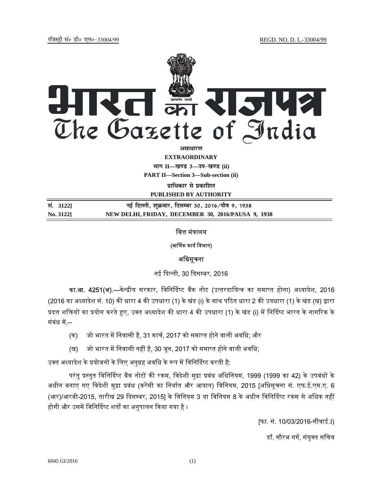

असाधार**ण** 

**EXTRAORDINARY Hkkx II—[k.M 3—mi&[k.M (ii)**

**PART II—Section 3—Sub-section (ii)** 

**प्राधिकार से प्रकाशित PUBLISHED BY AUTHORITY**

| सं. 31221 | नई दिल्ली, शुक्रवार, दिसम्बर 30, 2016 ∕पौष 9, 1938 |
|-----------|----------------------------------------------------|
| No. 3122] | NEW DELHI, FRIDAY, DECEMBER 30, 2016/PAUSA 9, 1938 |

# वित्त मंत्रालय

### (आᳶथक कायᭅ िवभाग)

## अधिसूचना

नई दिल्ली, 30 दिसम्बर, 2016

का.<mark>आ. 4251(अ).—</mark>केन्द्रीय सरकार, विनिर्दिष्ट बैंक नोट (उत्तरदायित्व का समाप्त होना) अध्यादेश, 2016 (2016 का अध्यादेश सं. 10) की धारा 4 की उपधारा (1) के खंड (i) के साथ पठित धारा 2 की उपधारा (1) के खंड (ख) द्वारा प्रदत्त शक्तियों का प्रयोग करते हुए, उक्त अध्यादेश की धारा 4 की उपधारा (1) के खंड (i) में निर्दिष्ट भारत के नागरिक के संबंध में --

- (क) जो भारत में निवासी है, 31 मार्च, 2017 को समाप्त होने वाली अवधि; और
- (ख) जो भारत में निवासी नहीं है, 30 जून, 2017 को समाप्त होने वाली अवधि;

उक्त अध्यादेश के प्रयोजनों के लिए अनुग्रह अवधि के रूप में विनिर्दिष्ट करती है:

परंतु प्रस्तुत विनिर्दिष्ट बैंक नोटों की रकम, विदेशी मुद्रा प्रबंध अधिनियम, 1999 (1999 का 42) के उपबंधों के अधीन बनाए गए विदेशी मुद्रा प्रबंध (करेंसी का निर्यात और आयात) विनियम, 2015 [अधिसूचना सं. एफ.ई.एम.ए. 6 (आर)/आरबी-2015, तारीख 29 दिसम्बर, 2015] के विनियम 3 या विनियम 8 के अधीन विनिर्दिष्ट रकम से अधिक नहीं होगी और उसमें विनिर्दिष्ट शर्तों का अनुपालन किया गया है ।

[फा. सं. 10/03/2016-सीवाई.I)

डॉ. सौरभ गर्ग, संयुक्त सचिव